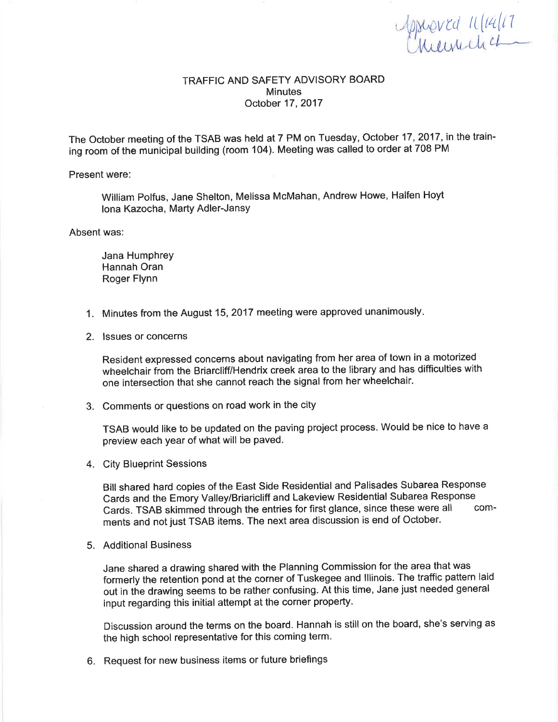Monted 11/14/17

## TRAFFIC AND SAFETY ADVISORY BOARD **Minutes** October 17,2017

The October meeting of the TSAB was held at 7 PM on Tuesday, October 17, 2017, in the training room of the municipal building (room 104). Meeting was called to order at 708 PM

Present were:

William Polfus, Jane Shelton, Melissa McMahan, Andrew Howe, Halfen Hoyt lona Kazocha, Marty Adler-Jansy

Absent was:

Jana Humphrey Hannah Oran Roger Flynn

- 1. Minutes from the August 15,2017 meeting were approved unanimously
- 2. lssues or concerns

Resident expressed concerns about navigating from her area of town in a motorized wheelchair from the Briarcliff/Hendrix creek area to the library and has difficulties with one intersection that she cannot reach the signal from her wheelchair.

3. Comments or questions on road work in the city

TSAB would like to be updated on the paving project process. Would be nice to have <sup>a</sup> preview each year of what will be paved.

4. City Blueprint Sessions

Bill shared hard copies of the East Side Residential and Palisades Subarea Response Cards and the Emory Valley/Briaricliff and Lakeview Residential Subarea Response<br>Cards, TSAR skimmed through the entries for first glance, since these were all Cards. TSAB skimmed through the entries for first glance, since these were all ments and not just TSAB items. The next area discussion is end of October.

5. Additional Business

Jane shared a drawing shared with the Planning Commission for the area that was formerly the retention þond at the corner of Tuskegee and lllinois. The traffic pattern laid out in the drawing seems to be rather confusing. At this time, Jane just needed general input regarding this initial attempt at the corner property.

Discussion around the terms on the board. Hannah is still on the board, she's serving as the high school representative for this coming term.

6. Request for new business items or future briefings